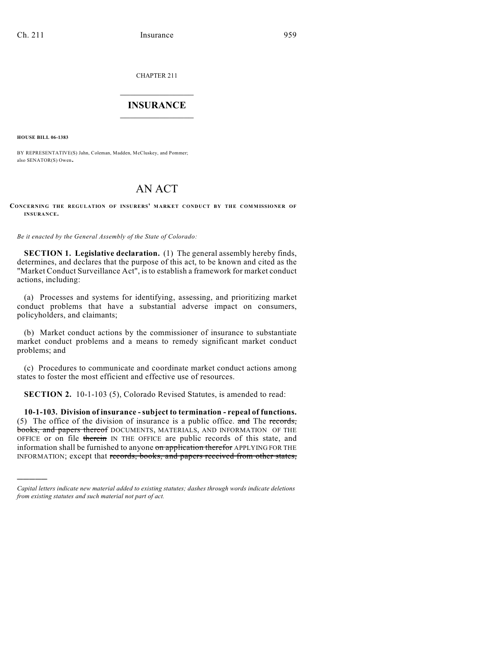CHAPTER 211

## $\overline{\phantom{a}}$  . The set of the set of the set of the set of the set of the set of the set of the set of the set of the set of the set of the set of the set of the set of the set of the set of the set of the set of the set o **INSURANCE**  $\frac{1}{2}$  ,  $\frac{1}{2}$  ,  $\frac{1}{2}$  ,  $\frac{1}{2}$  ,  $\frac{1}{2}$  ,  $\frac{1}{2}$  ,  $\frac{1}{2}$

**HOUSE BILL 06-1383**

)))))

BY REPRESENTATIVE(S) Jahn, Coleman, Madden, McCluskey, and Pommer; also SENATOR(S) Owen.

# AN ACT

#### **CONCERNING THE REGULATION OF INSURERS' MARKET CONDUCT BY THE COMMISSIONER OF INSURANCE.**

*Be it enacted by the General Assembly of the State of Colorado:*

**SECTION 1. Legislative declaration.** (1) The general assembly hereby finds, determines, and declares that the purpose of this act, to be known and cited as the "Market Conduct Surveillance Act", is to establish a framework for market conduct actions, including:

(a) Processes and systems for identifying, assessing, and prioritizing market conduct problems that have a substantial adverse impact on consumers, policyholders, and claimants;

(b) Market conduct actions by the commissioner of insurance to substantiate market conduct problems and a means to remedy significant market conduct problems; and

(c) Procedures to communicate and coordinate market conduct actions among states to foster the most efficient and effective use of resources.

**SECTION 2.** 10-1-103 (5), Colorado Revised Statutes, is amended to read:

**10-1-103. Division of insurance - subject to termination - repeal of functions.** (5) The office of the division of insurance is a public office. and The records, books, and papers thereof DOCUMENTS, MATERIALS, AND INFORMATION OF THE OFFICE or on file therein IN THE OFFICE are public records of this state, and information shall be furnished to anyone on application therefor APPLYING FOR THE INFORMATION; except that records, books, and papers received from other states,

*Capital letters indicate new material added to existing statutes; dashes through words indicate deletions from existing statutes and such material not part of act.*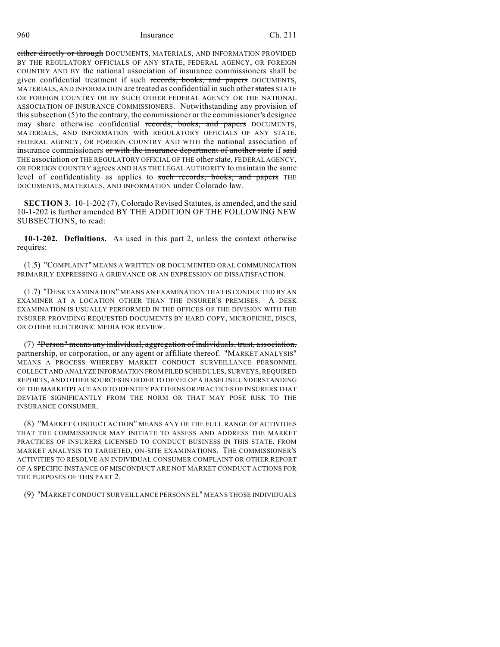either directly or through DOCUMENTS, MATERIALS, AND INFORMATION PROVIDED BY THE REGULATORY OFFICIALS OF ANY STATE, FEDERAL AGENCY, OR FOREIGN COUNTRY AND BY the national association of insurance commissioners shall be given confidential treatment if such records, books, and papers DOCUMENTS, MATERIALS, AND INFORMATION are treated as confidential in such other states STATE OR FOREIGN COUNTRY OR BY SUCH OTHER FEDERAL AGENCY OR THE NATIONAL ASSOCIATION OF INSURANCE COMMISSIONERS. Notwithstanding any provision of this subsection (5) to the contrary, the commissioner or the commissioner's designee may share otherwise confidential records, books, and papers DOCUMENTS, MATERIALS, AND INFORMATION with REGULATORY OFFICIALS OF ANY STATE, FEDERAL AGENCY, OR FOREIGN COUNTRY AND WITH the national association of insurance commissioners or with the insurance department of another state if said THE association or THE REGULATORY OFFICIAL OF THE other state, FEDERAL AGENCY, OR FOREIGN COUNTRY agrees AND HAS THE LEGAL AUTHORITY to maintain the same level of confidentiality as applies to such records, books, and papers THE DOCUMENTS, MATERIALS, AND INFORMATION under Colorado law.

**SECTION 3.** 10-1-202 (7), Colorado Revised Statutes, is amended, and the said 10-1-202 is further amended BY THE ADDITION OF THE FOLLOWING NEW SUBSECTIONS, to read:

**10-1-202. Definitions.** As used in this part 2, unless the context otherwise requires:

(1.5) "COMPLAINT" MEANS A WRITTEN OR DOCUMENTED ORAL COMMUNICATION PRIMARILY EXPRESSING A GRIEVANCE OR AN EXPRESSION OF DISSATISFACTION.

(1.7) "DESK EXAMINATION" MEANS AN EXAMINATION THAT IS CONDUCTED BY AN EXAMINER AT A LOCATION OTHER THAN THE INSURER'S PREMISES. A DESK EXAMINATION IS USUALLY PERFORMED IN THE OFFICES OF THE DIVISION WITH THE INSURER PROVIDING REQUESTED DOCUMENTS BY HARD COPY, MICROFICHE, DISCS, OR OTHER ELECTRONIC MEDIA FOR REVIEW.

(7) "Person" means any individual, aggregation of individuals, trust, association, partnership, or corporation, or any agent or affiliate thereof. "MARKET ANALYSIS" MEANS A PROCESS WHEREBY MARKET CONDUCT SURVEILLANCE PERSONNEL COLLECT AND ANALYZE INFORMATION FROM FILED SCHEDULES, SURVEYS, REQUIRED REPORTS, AND OTHER SOURCES IN ORDER TO DEVELOP A BASELINE UNDERSTANDING OF THE MARKETPLACE AND TO IDENTIFY PATTERNS OR PRACTICES OF INSURERS THAT DEVIATE SIGNIFICANTLY FROM THE NORM OR THAT MAY POSE RISK TO THE INSURANCE CONSUMER.

(8) "MARKET CONDUCT ACTION" MEANS ANY OF THE FULL RANGE OF ACTIVITIES THAT THE COMMISSIONER MAY INITIATE TO ASSESS AND ADDRESS THE MARKET PRACTICES OF INSURERS LICENSED TO CONDUCT BUSINESS IN THIS STATE, FROM MARKET ANALYSIS TO TARGETED, ON-SITE EXAMINATIONS. THE COMMISSIONER'S ACTIVITIES TO RESOLVE AN INDIVIDUAL CONSUMER COMPLAINT OR OTHER REPORT OF A SPECIFIC INSTANCE OF MISCONDUCT ARE NOT MARKET CONDUCT ACTIONS FOR THE PURPOSES OF THIS PART 2.

(9) "MARKET CONDUCT SURVEILLANCE PERSONNEL" MEANS THOSE INDIVIDUALS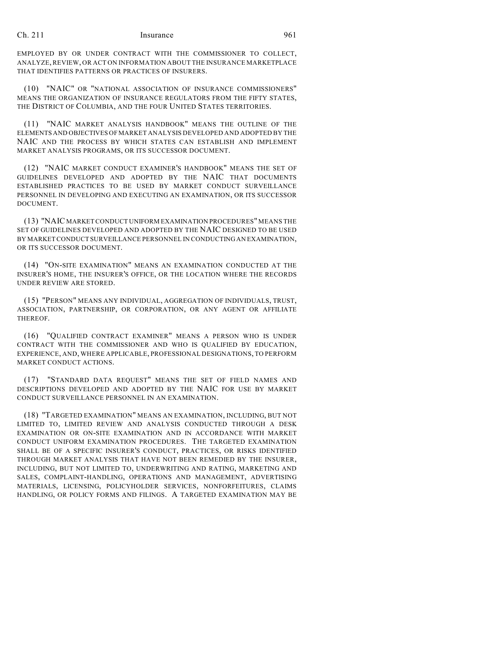EMPLOYED BY OR UNDER CONTRACT WITH THE COMMISSIONER TO COLLECT, ANALYZE, REVIEW, OR ACT ON INFORMATION ABOUT THE INSURANCE MARKETPLACE THAT IDENTIFIES PATTERNS OR PRACTICES OF INSURERS.

(10) "NAIC" OR "NATIONAL ASSOCIATION OF INSURANCE COMMISSIONERS" MEANS THE ORGANIZATION OF INSURANCE REGULATORS FROM THE FIFTY STATES, THE DISTRICT OF COLUMBIA, AND THE FOUR UNITED STATES TERRITORIES.

(11) "NAIC MARKET ANALYSIS HANDBOOK" MEANS THE OUTLINE OF THE ELEMENTS AND OBJECTIVES OF MARKET ANALYSIS DEVELOPED AND ADOPTED BY THE NAIC AND THE PROCESS BY WHICH STATES CAN ESTABLISH AND IMPLEMENT MARKET ANALYSIS PROGRAMS, OR ITS SUCCESSOR DOCUMENT.

(12) "NAIC MARKET CONDUCT EXAMINER'S HANDBOOK" MEANS THE SET OF GUIDELINES DEVELOPED AND ADOPTED BY THE NAIC THAT DOCUMENTS ESTABLISHED PRACTICES TO BE USED BY MARKET CONDUCT SURVEILLANCE PERSONNEL IN DEVELOPING AND EXECUTING AN EXAMINATION, OR ITS SUCCESSOR DOCUMENT.

(13) "NAIC MARKET CONDUCT UNIFORM EXAMINATION PROCEDURES" MEANS THE SET OF GUIDELINES DEVELOPED AND ADOPTED BY THE NAIC DESIGNED TO BE USED BY MARKET CONDUCT SURVEILLANCE PERSONNEL IN CONDUCTING AN EXAMINATION, OR ITS SUCCESSOR DOCUMENT.

(14) "ON-SITE EXAMINATION" MEANS AN EXAMINATION CONDUCTED AT THE INSURER'S HOME, THE INSURER'S OFFICE, OR THE LOCATION WHERE THE RECORDS UNDER REVIEW ARE STORED.

(15) "PERSON" MEANS ANY INDIVIDUAL, AGGREGATION OF INDIVIDUALS, TRUST, ASSOCIATION, PARTNERSHIP, OR CORPORATION, OR ANY AGENT OR AFFILIATE THEREOF.

(16) "QUALIFIED CONTRACT EXAMINER" MEANS A PERSON WHO IS UNDER CONTRACT WITH THE COMMISSIONER AND WHO IS QUALIFIED BY EDUCATION, EXPERIENCE, AND, WHERE APPLICABLE, PROFESSIONAL DESIGNATIONS, TO PERFORM MARKET CONDUCT ACTIONS.

(17) "STANDARD DATA REQUEST" MEANS THE SET OF FIELD NAMES AND DESCRIPTIONS DEVELOPED AND ADOPTED BY THE NAIC FOR USE BY MARKET CONDUCT SURVEILLANCE PERSONNEL IN AN EXAMINATION.

(18) "TARGETED EXAMINATION" MEANS AN EXAMINATION, INCLUDING, BUT NOT LIMITED TO, LIMITED REVIEW AND ANALYSIS CONDUCTED THROUGH A DESK EXAMINATION OR ON-SITE EXAMINATION AND IN ACCORDANCE WITH MARKET CONDUCT UNIFORM EXAMINATION PROCEDURES. THE TARGETED EXAMINATION SHALL BE OF A SPECIFIC INSURER'S CONDUCT, PRACTICES, OR RISKS IDENTIFIED THROUGH MARKET ANALYSIS THAT HAVE NOT BEEN REMEDIED BY THE INSURER, INCLUDING, BUT NOT LIMITED TO, UNDERWRITING AND RATING, MARKETING AND SALES, COMPLAINT-HANDLING, OPERATIONS AND MANAGEMENT, ADVERTISING MATERIALS, LICENSING, POLICYHOLDER SERVICES, NONFORFEITURES, CLAIMS HANDLING, OR POLICY FORMS AND FILINGS. A TARGETED EXAMINATION MAY BE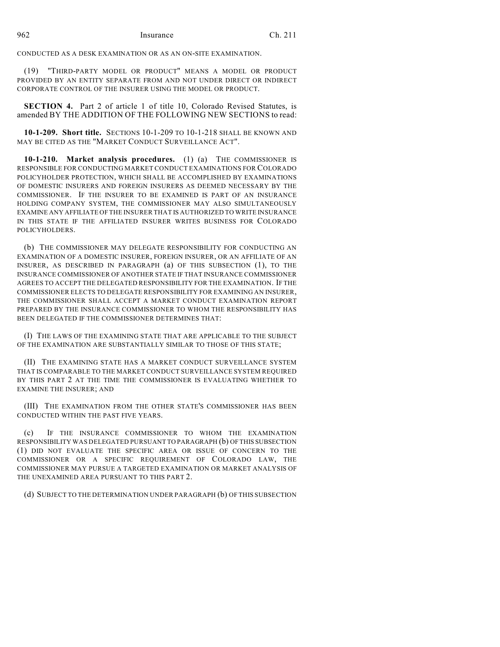CONDUCTED AS A DESK EXAMINATION OR AS AN ON-SITE EXAMINATION.

(19) "THIRD-PARTY MODEL OR PRODUCT" MEANS A MODEL OR PRODUCT PROVIDED BY AN ENTITY SEPARATE FROM AND NOT UNDER DIRECT OR INDIRECT CORPORATE CONTROL OF THE INSURER USING THE MODEL OR PRODUCT.

**SECTION 4.** Part 2 of article 1 of title 10, Colorado Revised Statutes, is amended BY THE ADDITION OF THE FOLLOWING NEW SECTIONS to read:

**10-1-209. Short title.** SECTIONS 10-1-209 TO 10-1-218 SHALL BE KNOWN AND MAY BE CITED AS THE "MARKET CONDUCT SURVEILLANCE ACT".

**10-1-210. Market analysis procedures.** (1) (a) THE COMMISSIONER IS RESPONSIBLE FOR CONDUCTING MARKET CONDUCT EXAMINATIONS FOR COLORADO POLICYHOLDER PROTECTION, WHICH SHALL BE ACCOMPLISHED BY EXAMINATIONS OF DOMESTIC INSURERS AND FOREIGN INSURERS AS DEEMED NECESSARY BY THE COMMISSIONER. IF THE INSURER TO BE EXAMINED IS PART OF AN INSURANCE HOLDING COMPANY SYSTEM, THE COMMISSIONER MAY ALSO SIMULTANEOUSLY EXAMINE ANY AFFILIATE OF THE INSURER THAT IS AUTHORIZED TO WRITE INSURANCE IN THIS STATE IF THE AFFILIATED INSURER WRITES BUSINESS FOR COLORADO POLICYHOLDERS.

(b) THE COMMISSIONER MAY DELEGATE RESPONSIBILITY FOR CONDUCTING AN EXAMINATION OF A DOMESTIC INSURER, FOREIGN INSURER, OR AN AFFILIATE OF AN INSURER, AS DESCRIBED IN PARAGRAPH (a) OF THIS SUBSECTION (1), TO THE INSURANCE COMMISSIONER OF ANOTHER STATE IF THAT INSURANCE COMMISSIONER AGREES TO ACCEPT THE DELEGATED RESPONSIBILITY FOR THE EXAMINATION. IF THE COMMISSIONER ELECTS TO DELEGATE RESPONSIBILITY FOR EXAMINING AN INSURER, THE COMMISSIONER SHALL ACCEPT A MARKET CONDUCT EXAMINATION REPORT PREPARED BY THE INSURANCE COMMISSIONER TO WHOM THE RESPONSIBILITY HAS BEEN DELEGATED IF THE COMMISSIONER DETERMINES THAT:

(I) THE LAWS OF THE EXAMINING STATE THAT ARE APPLICABLE TO THE SUBJECT OF THE EXAMINATION ARE SUBSTANTIALLY SIMILAR TO THOSE OF THIS STATE;

(II) THE EXAMINING STATE HAS A MARKET CONDUCT SURVEILLANCE SYSTEM THAT IS COMPARABLE TO THE MARKET CONDUCT SURVEILLANCE SYSTEM REQUIRED BY THIS PART 2 AT THE TIME THE COMMISSIONER IS EVALUATING WHETHER TO EXAMINE THE INSURER; AND

(III) THE EXAMINATION FROM THE OTHER STATE'S COMMISSIONER HAS BEEN CONDUCTED WITHIN THE PAST FIVE YEARS.

(c) IF THE INSURANCE COMMISSIONER TO WHOM THE EXAMINATION RESPONSIBILITY WAS DELEGATED PURSUANT TO PARAGRAPH (b) OF THIS SUBSECTION (1) DID NOT EVALUATE THE SPECIFIC AREA OR ISSUE OF CONCERN TO THE COMMISSIONER OR A SPECIFIC REQUIREMENT OF COLORADO LAW, THE COMMISSIONER MAY PURSUE A TARGETED EXAMINATION OR MARKET ANALYSIS OF THE UNEXAMINED AREA PURSUANT TO THIS PART 2.

(d) SUBJECT TO THE DETERMINATION UNDER PARAGRAPH (b) OF THIS SUBSECTION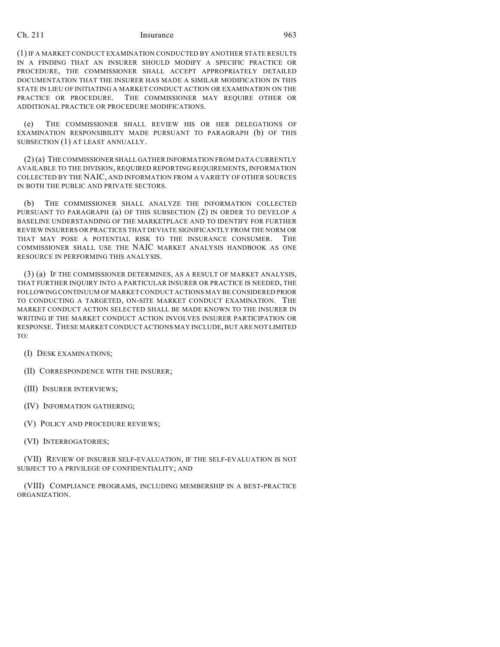(1) IF A MARKET CONDUCT EXAMINATION CONDUCTED BY ANOTHER STATE RESULTS IN A FINDING THAT AN INSURER SHOULD MODIFY A SPECIFIC PRACTICE OR PROCEDURE, THE COMMISSIONER SHALL ACCEPT APPROPRIATELY DETAILED DOCUMENTATION THAT THE INSURER HAS MADE A SIMILAR MODIFICATION IN THIS STATE IN LIEU OF INITIATING A MARKET CONDUCT ACTION OR EXAMINATION ON THE PRACTICE OR PROCEDURE. THE COMMISSIONER MAY REQUIRE OTHER OR ADDITIONAL PRACTICE OR PROCEDURE MODIFICATIONS.

(e) THE COMMISSIONER SHALL REVIEW HIS OR HER DELEGATIONS OF EXAMINATION RESPONSIBILITY MADE PURSUANT TO PARAGRAPH (b) OF THIS SUBSECTION (1) AT LEAST ANNUALLY.

(2) (a) THE COMMISSIONER SHALL GATHER INFORMATION FROM DATA CURRENTLY AVAILABLE TO THE DIVISION, REQUIRED REPORTING REQUIREMENTS, INFORMATION COLLECTED BY THE NAIC, AND INFORMATION FROM A VARIETY OF OTHER SOURCES IN BOTH THE PUBLIC AND PRIVATE SECTORS.

(b) THE COMMISSIONER SHALL ANALYZE THE INFORMATION COLLECTED PURSUANT TO PARAGRAPH (a) OF THIS SUBSECTION (2) IN ORDER TO DEVELOP A BASELINE UNDERSTANDING OF THE MARKETPLACE AND TO IDENTIFY FOR FURTHER REVIEW INSURERS OR PRACTICES THAT DEVIATE SIGNIFICANTLY FROM THE NORM OR THAT MAY POSE A POTENTIAL RISK TO THE INSURANCE CONSUMER. THE COMMISSIONER SHALL USE THE NAIC MARKET ANALYSIS HANDBOOK AS ONE RESOURCE IN PERFORMING THIS ANALYSIS.

(3) (a) IF THE COMMISSIONER DETERMINES, AS A RESULT OF MARKET ANALYSIS, THAT FURTHER INQUIRY INTO A PARTICULAR INSURER OR PRACTICE IS NEEDED, THE FOLLOWING CONTINUUM OF MARKET CONDUCT ACTIONS MAY BE CONSIDERED PRIOR TO CONDUCTING A TARGETED, ON-SITE MARKET CONDUCT EXAMINATION. THE MARKET CONDUCT ACTION SELECTED SHALL BE MADE KNOWN TO THE INSURER IN WRITING IF THE MARKET CONDUCT ACTION INVOLVES INSURER PARTICIPATION OR RESPONSE. THESE MARKET CONDUCT ACTIONS MAY INCLUDE, BUT ARE NOT LIMITED TO:

(I) DESK EXAMINATIONS;

(II) CORRESPONDENCE WITH THE INSURER;

- (III) INSURER INTERVIEWS;
- (IV) INFORMATION GATHERING;
- (V) POLICY AND PROCEDURE REVIEWS;
- (VI) INTERROGATORIES;

(VII) REVIEW OF INSURER SELF-EVALUATION, IF THE SELF-EVALUATION IS NOT SUBJECT TO A PRIVILEGE OF CONFIDENTIALITY; AND

(VIII) COMPLIANCE PROGRAMS, INCLUDING MEMBERSHIP IN A BEST-PRACTICE ORGANIZATION.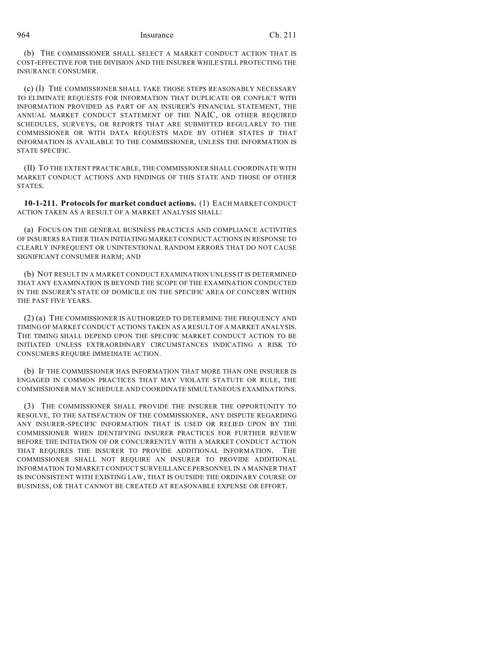(b) THE COMMISSIONER SHALL SELECT A MARKET CONDUCT ACTION THAT IS COST-EFFECTIVE FOR THE DIVISION AND THE INSURER WHILE STILL PROTECTING THE INSURANCE CONSUMER.

(c) (I) THE COMMISSIONER SHALL TAKE THOSE STEPS REASONABLY NECESSARY TO ELIMINATE REQUESTS FOR INFORMATION THAT DUPLICATE OR CONFLICT WITH INFORMATION PROVIDED AS PART OF AN INSURER'S FINANCIAL STATEMENT, THE ANNUAL MARKET CONDUCT STATEMENT OF THE NAIC, OR OTHER REQUIRED SCHEDULES, SURVEYS, OR REPORTS THAT ARE SUBMITTED REGULARLY TO THE COMMISSIONER OR WITH DATA REQUESTS MADE BY OTHER STATES IF THAT INFORMATION IS AVAILABLE TO THE COMMISSIONER, UNLESS THE INFORMATION IS STATE SPECIFIC.

(II) TO THE EXTENT PRACTICABLE, THE COMMISSIONER SHALL COORDINATE WITH MARKET CONDUCT ACTIONS AND FINDINGS OF THIS STATE AND THOSE OF OTHER STATES.

**10-1-211. Protocols for market conduct actions.** (1) EACH MARKET CONDUCT ACTION TAKEN AS A RESULT OF A MARKET ANALYSIS SHALL:

(a) FOCUS ON THE GENERAL BUSINESS PRACTICES AND COMPLIANCE ACTIVITIES OF INSURERS RATHER THAN INITIATING MARKET CONDUCT ACTIONS IN RESPONSE TO CLEARLY INFREQUENT OR UNINTENTIONAL RANDOM ERRORS THAT DO NOT CAUSE SIGNIFICANT CONSUMER HARM; AND

(b) NOT RESULT IN A MARKET CONDUCT EXAMINATION UNLESS IT IS DETERMINED THAT ANY EXAMINATION IS BEYOND THE SCOPE OF THE EXAMINATION CONDUCTED IN THE INSURER'S STATE OF DOMICILE ON THE SPECIFIC AREA OF CONCERN WITHIN THE PAST FIVE YEARS.

(2) (a) THE COMMISSIONER IS AUTHORIZED TO DETERMINE THE FREQUENCY AND TIMING OF MARKET CONDUCT ACTIONS TAKEN AS A RESULT OF A MARKET ANALYSIS. THE TIMING SHALL DEPEND UPON THE SPECIFIC MARKET CONDUCT ACTION TO BE INITIATED UNLESS EXTRAORDINARY CIRCUMSTANCES INDICATING A RISK TO CONSUMERS REQUIRE IMMEDIATE ACTION.

(b) IF THE COMMISSIONER HAS INFORMATION THAT MORE THAN ONE INSURER IS ENGAGED IN COMMON PRACTICES THAT MAY VIOLATE STATUTE OR RULE, THE COMMISSIONER MAY SCHEDULE AND COORDINATE SIMULTANEOUS EXAMINATIONS.

(3) THE COMMISSIONER SHALL PROVIDE THE INSURER THE OPPORTUNITY TO RESOLVE, TO THE SATISFACTION OF THE COMMISSIONER, ANY DISPUTE REGARDING ANY INSURER-SPECIFIC INFORMATION THAT IS USED OR RELIED UPON BY THE COMMISSIONER WHEN IDENTIFYING INSURER PRACTICES FOR FURTHER REVIEW BEFORE THE INITIATION OF OR CONCURRENTLY WITH A MARKET CONDUCT ACTION THAT REQUIRES THE INSURER TO PROVIDE ADDITIONAL INFORMATION. THE COMMISSIONER SHALL NOT REQUIRE AN INSURER TO PROVIDE ADDITIONAL INFORMATION TO MARKET CONDUCT SURVEILLANCE PERSONNEL IN A MANNER THAT IS INCONSISTENT WITH EXISTING LAW, THAT IS OUTSIDE THE ORDINARY COURSE OF BUSINESS, OR THAT CANNOT BE CREATED AT REASONABLE EXPENSE OR EFFORT.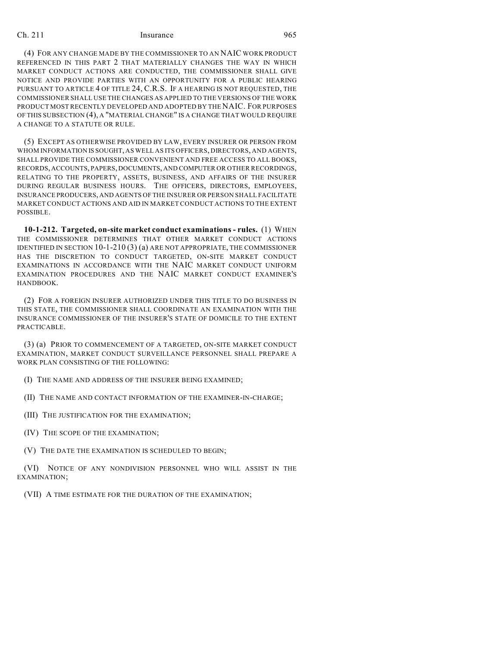(4) FOR ANY CHANGE MADE BY THE COMMISSIONER TO AN NAIC WORK PRODUCT REFERENCED IN THIS PART 2 THAT MATERIALLY CHANGES THE WAY IN WHICH MARKET CONDUCT ACTIONS ARE CONDUCTED, THE COMMISSIONER SHALL GIVE NOTICE AND PROVIDE PARTIES WITH AN OPPORTUNITY FOR A PUBLIC HEARING PURSUANT TO ARTICLE 4 OF TITLE 24, C.R.S. IF A HEARING IS NOT REQUESTED, THE COMMISSIONER SHALL USE THE CHANGES AS APPLIED TO THE VERSIONS OF THE WORK PRODUCT MOST RECENTLY DEVELOPED AND ADOPTED BY THE NAIC. FOR PURPOSES OF THIS SUBSECTION (4), A "MATERIAL CHANGE" IS A CHANGE THAT WOULD REQUIRE A CHANGE TO A STATUTE OR RULE.

(5) EXCEPT AS OTHERWISE PROVIDED BY LAW, EVERY INSURER OR PERSON FROM WHOM INFORMATION IS SOUGHT, AS WELL AS ITS OFFICERS, DIRECTORS, AND AGENTS, SHALL PROVIDE THE COMMISSIONER CONVENIENT AND FREE ACCESS TO ALL BOOKS, RECORDS, ACCOUNTS, PAPERS, DOCUMENTS, AND COMPUTER OR OTHER RECORDINGS, RELATING TO THE PROPERTY, ASSETS, BUSINESS, AND AFFAIRS OF THE INSURER DURING REGULAR BUSINESS HOURS. THE OFFICERS, DIRECTORS, EMPLOYEES, INSURANCE PRODUCERS, AND AGENTS OF THE INSURER OR PERSON SHALL FACILITATE MARKET CONDUCT ACTIONS AND AID IN MARKET CONDUCT ACTIONS TO THE EXTENT POSSIBLE.

**10-1-212. Targeted, on-site market conduct examinations - rules.** (1) WHEN THE COMMISSIONER DETERMINES THAT OTHER MARKET CONDUCT ACTIONS IDENTIFIED IN SECTION 10-1-210 (3) (a) ARE NOT APPROPRIATE, THE COMMISSIONER HAS THE DISCRETION TO CONDUCT TARGETED, ON-SITE MARKET CONDUCT EXAMINATIONS IN ACCORDANCE WITH THE NAIC MARKET CONDUCT UNIFORM EXAMINATION PROCEDURES AND THE NAIC MARKET CONDUCT EXAMINER'S HANDBOOK.

(2) FOR A FOREIGN INSURER AUTHORIZED UNDER THIS TITLE TO DO BUSINESS IN THIS STATE, THE COMMISSIONER SHALL COORDINATE AN EXAMINATION WITH THE INSURANCE COMMISSIONER OF THE INSURER'S STATE OF DOMICILE TO THE EXTENT PRACTICABLE.

(3) (a) PRIOR TO COMMENCEMENT OF A TARGETED, ON-SITE MARKET CONDUCT EXAMINATION, MARKET CONDUCT SURVEILLANCE PERSONNEL SHALL PREPARE A WORK PLAN CONSISTING OF THE FOLLOWING:

(I) THE NAME AND ADDRESS OF THE INSURER BEING EXAMINED;

(II) THE NAME AND CONTACT INFORMATION OF THE EXAMINER-IN-CHARGE;

(III) THE JUSTIFICATION FOR THE EXAMINATION;

(IV) THE SCOPE OF THE EXAMINATION;

(V) THE DATE THE EXAMINATION IS SCHEDULED TO BEGIN;

(VI) NOTICE OF ANY NONDIVISION PERSONNEL WHO WILL ASSIST IN THE EXAMINATION;

(VII) A TIME ESTIMATE FOR THE DURATION OF THE EXAMINATION;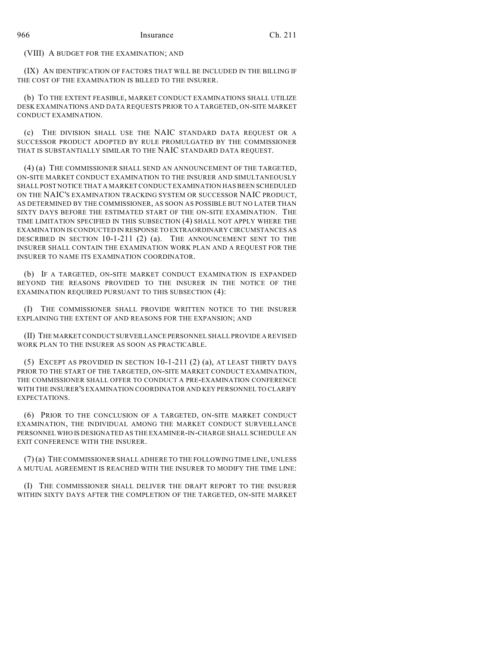(VIII) A BUDGET FOR THE EXAMINATION; AND

(IX) AN IDENTIFICATION OF FACTORS THAT WILL BE INCLUDED IN THE BILLING IF THE COST OF THE EXAMINATION IS BILLED TO THE INSURER.

(b) TO THE EXTENT FEASIBLE, MARKET CONDUCT EXAMINATIONS SHALL UTILIZE DESK EXAMINATIONS AND DATA REQUESTS PRIOR TO A TARGETED, ON-SITE MARKET CONDUCT EXAMINATION.

(c) THE DIVISION SHALL USE THE NAIC STANDARD DATA REQUEST OR A SUCCESSOR PRODUCT ADOPTED BY RULE PROMULGATED BY THE COMMISSIONER THAT IS SUBSTANTIALLY SIMILAR TO THE NAIC STANDARD DATA REQUEST.

(4) (a) THE COMMISSIONER SHALL SEND AN ANNOUNCEMENT OF THE TARGETED, ON-SITE MARKET CONDUCT EXAMINATION TO THE INSURER AND SIMULTANEOUSLY SHALL POST NOTICE THAT A MARKET CONDUCT EXAMINATION HAS BEEN SCHEDULED ON THE NAIC'S EXAMINATION TRACKING SYSTEM OR SUCCESSOR NAIC PRODUCT, AS DETERMINED BY THE COMMISSIONER, AS SOON AS POSSIBLE BUT NO LATER THAN SIXTY DAYS BEFORE THE ESTIMATED START OF THE ON-SITE EXAMINATION. THE TIME LIMITATION SPECIFIED IN THIS SUBSECTION (4) SHALL NOT APPLY WHERE THE EXAMINATION IS CONDUCTED IN RESPONSE TO EXTRAORDINARY CIRCUMSTANCES AS DESCRIBED IN SECTION 10-1-211 (2) (a). THE ANNOUNCEMENT SENT TO THE INSURER SHALL CONTAIN THE EXAMINATION WORK PLAN AND A REQUEST FOR THE INSURER TO NAME ITS EXAMINATION COORDINATOR.

(b) IF A TARGETED, ON-SITE MARKET CONDUCT EXAMINATION IS EXPANDED BEYOND THE REASONS PROVIDED TO THE INSURER IN THE NOTICE OF THE EXAMINATION REQUIRED PURSUANT TO THIS SUBSECTION (4):

(I) THE COMMISSIONER SHALL PROVIDE WRITTEN NOTICE TO THE INSURER EXPLAINING THE EXTENT OF AND REASONS FOR THE EXPANSION; AND

(II) THE MARKET CONDUCT SURVEILLANCE PERSONNEL SHALL PROVIDE A REVISED WORK PLAN TO THE INSURER AS SOON AS PRACTICABLE.

(5) EXCEPT AS PROVIDED IN SECTION 10-1-211 (2) (a), AT LEAST THIRTY DAYS PRIOR TO THE START OF THE TARGETED, ON-SITE MARKET CONDUCT EXAMINATION, THE COMMISSIONER SHALL OFFER TO CONDUCT A PRE-EXAMINATION CONFERENCE WITH THE INSURER'S EXAMINATION COORDINATOR AND KEY PERSONNEL TO CLARIFY EXPECTATIONS.

(6) PRIOR TO THE CONCLUSION OF A TARGETED, ON-SITE MARKET CONDUCT EXAMINATION, THE INDIVIDUAL AMONG THE MARKET CONDUCT SURVEILLANCE PERSONNEL WHO IS DESIGNATED AS THE EXAMINER-IN-CHARGE SHALL SCHEDULE AN EXIT CONFERENCE WITH THE INSURER.

(7) (a) THE COMMISSIONER SHALL ADHERE TO THE FOLLOWING TIME LINE, UNLESS A MUTUAL AGREEMENT IS REACHED WITH THE INSURER TO MODIFY THE TIME LINE:

(I) THE COMMISSIONER SHALL DELIVER THE DRAFT REPORT TO THE INSURER WITHIN SIXTY DAYS AFTER THE COMPLETION OF THE TARGETED, ON-SITE MARKET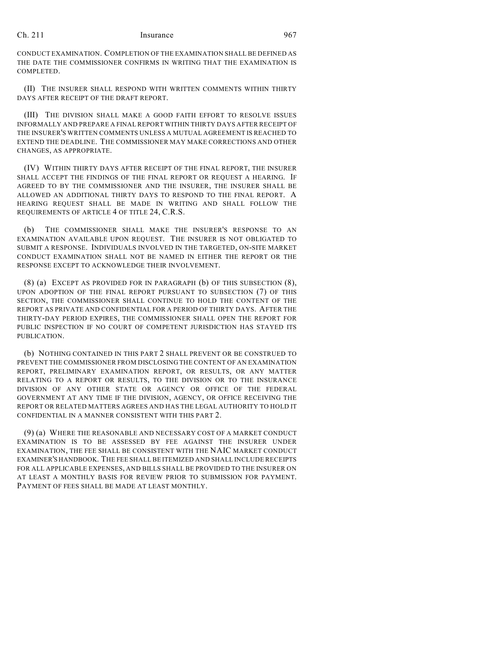CONDUCT EXAMINATION. COMPLETION OF THE EXAMINATION SHALL BE DEFINED AS THE DATE THE COMMISSIONER CONFIRMS IN WRITING THAT THE EXAMINATION IS COMPLETED.

(II) THE INSURER SHALL RESPOND WITH WRITTEN COMMENTS WITHIN THIRTY DAYS AFTER RECEIPT OF THE DRAFT REPORT.

(III) THE DIVISION SHALL MAKE A GOOD FAITH EFFORT TO RESOLVE ISSUES INFORMALLY AND PREPARE A FINAL REPORT WITHIN THIRTY DAYS AFTER RECEIPT OF THE INSURER'S WRITTEN COMMENTS UNLESS A MUTUAL AGREEMENT IS REACHED TO EXTEND THE DEADLINE. THE COMMISSIONER MAY MAKE CORRECTIONS AND OTHER CHANGES, AS APPROPRIATE.

(IV) WITHIN THIRTY DAYS AFTER RECEIPT OF THE FINAL REPORT, THE INSURER SHALL ACCEPT THE FINDINGS OF THE FINAL REPORT OR REQUEST A HEARING. IF AGREED TO BY THE COMMISSIONER AND THE INSURER, THE INSURER SHALL BE ALLOWED AN ADDITIONAL THIRTY DAYS TO RESPOND TO THE FINAL REPORT. A HEARING REQUEST SHALL BE MADE IN WRITING AND SHALL FOLLOW THE REQUIREMENTS OF ARTICLE 4 OF TITLE 24, C.R.S.

(b) THE COMMISSIONER SHALL MAKE THE INSURER'S RESPONSE TO AN EXAMINATION AVAILABLE UPON REQUEST. THE INSURER IS NOT OBLIGATED TO SUBMIT A RESPONSE. INDIVIDUALS INVOLVED IN THE TARGETED, ON-SITE MARKET CONDUCT EXAMINATION SHALL NOT BE NAMED IN EITHER THE REPORT OR THE RESPONSE EXCEPT TO ACKNOWLEDGE THEIR INVOLVEMENT.

(8) (a) EXCEPT AS PROVIDED FOR IN PARAGRAPH (b) OF THIS SUBSECTION (8), UPON ADOPTION OF THE FINAL REPORT PURSUANT TO SUBSECTION (7) OF THIS SECTION, THE COMMISSIONER SHALL CONTINUE TO HOLD THE CONTENT OF THE REPORT AS PRIVATE AND CONFIDENTIAL FOR A PERIOD OF THIRTY DAYS. AFTER THE THIRTY-DAY PERIOD EXPIRES, THE COMMISSIONER SHALL OPEN THE REPORT FOR PUBLIC INSPECTION IF NO COURT OF COMPETENT JURISDICTION HAS STAYED ITS PUBLICATION.

(b) NOTHING CONTAINED IN THIS PART 2 SHALL PREVENT OR BE CONSTRUED TO PREVENT THE COMMISSIONER FROM DISCLOSING THE CONTENT OF AN EXAMINATION REPORT, PRELIMINARY EXAMINATION REPORT, OR RESULTS, OR ANY MATTER RELATING TO A REPORT OR RESULTS, TO THE DIVISION OR TO THE INSURANCE DIVISION OF ANY OTHER STATE OR AGENCY OR OFFICE OF THE FEDERAL GOVERNMENT AT ANY TIME IF THE DIVISION, AGENCY, OR OFFICE RECEIVING THE REPORT OR RELATED MATTERS AGREES AND HAS THE LEGAL AUTHORITY TO HOLD IT CONFIDENTIAL IN A MANNER CONSISTENT WITH THIS PART 2.

(9) (a) WHERE THE REASONABLE AND NECESSARY COST OF A MARKET CONDUCT EXAMINATION IS TO BE ASSESSED BY FEE AGAINST THE INSURER UNDER EXAMINATION, THE FEE SHALL BE CONSISTENT WITH THE NAIC MARKET CONDUCT EXAMINER'S HANDBOOK. THE FEE SHALL BE ITEMIZED AND SHALL INCLUDE RECEIPTS FOR ALL APPLICABLE EXPENSES, AND BILLS SHALL BE PROVIDED TO THE INSURER ON AT LEAST A MONTHLY BASIS FOR REVIEW PRIOR TO SUBMISSION FOR PAYMENT. PAYMENT OF FEES SHALL BE MADE AT LEAST MONTHLY.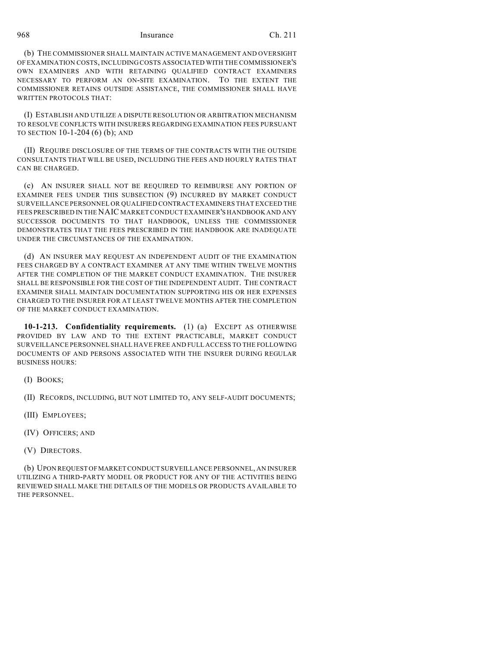(b) THE COMMISSIONER SHALL MAINTAIN ACTIVE MANAGEMENT AND OVERSIGHT OF EXAMINATION COSTS, INCLUDING COSTS ASSOCIATED WITH THE COMMISSIONER'S OWN EXAMINERS AND WITH RETAINING QUALIFIED CONTRACT EXAMINERS NECESSARY TO PERFORM AN ON-SITE EXAMINATION. TO THE EXTENT THE COMMISSIONER RETAINS OUTSIDE ASSISTANCE, THE COMMISSIONER SHALL HAVE WRITTEN PROTOCOLS THAT:

(I) ESTABLISH AND UTILIZE A DISPUTE RESOLUTION OR ARBITRATION MECHANISM TO RESOLVE CONFLICTS WITH INSURERS REGARDING EXAMINATION FEES PURSUANT TO SECTION 10-1-204 (6) (b); AND

(II) REQUIRE DISCLOSURE OF THE TERMS OF THE CONTRACTS WITH THE OUTSIDE CONSULTANTS THAT WILL BE USED, INCLUDING THE FEES AND HOURLY RATES THAT CAN BE CHARGED.

(c) AN INSURER SHALL NOT BE REQUIRED TO REIMBURSE ANY PORTION OF EXAMINER FEES UNDER THIS SUBSECTION (9) INCURRED BY MARKET CONDUCT SURVEILLANCE PERSONNEL OR QUALIFIED CONTRACT EXAMINERS THAT EXCEED THE FEES PRESCRIBED IN THE NAIC MARKET CONDUCT EXAMINER'S HANDBOOK AND ANY SUCCESSOR DOCUMENTS TO THAT HANDBOOK, UNLESS THE COMMISSIONER DEMONSTRATES THAT THE FEES PRESCRIBED IN THE HANDBOOK ARE INADEQUATE UNDER THE CIRCUMSTANCES OF THE EXAMINATION.

(d) AN INSURER MAY REQUEST AN INDEPENDENT AUDIT OF THE EXAMINATION FEES CHARGED BY A CONTRACT EXAMINER AT ANY TIME WITHIN TWELVE MONTHS AFTER THE COMPLETION OF THE MARKET CONDUCT EXAMINATION. THE INSURER SHALL BE RESPONSIBLE FOR THE COST OF THE INDEPENDENT AUDIT. THE CONTRACT EXAMINER SHALL MAINTAIN DOCUMENTATION SUPPORTING HIS OR HER EXPENSES CHARGED TO THE INSURER FOR AT LEAST TWELVE MONTHS AFTER THE COMPLETION OF THE MARKET CONDUCT EXAMINATION.

**10-1-213. Confidentiality requirements.** (1) (a) EXCEPT AS OTHERWISE PROVIDED BY LAW AND TO THE EXTENT PRACTICABLE, MARKET CONDUCT SURVEILLANCE PERSONNEL SHALL HAVE FREE AND FULL ACCESS TO THE FOLLOWING DOCUMENTS OF AND PERSONS ASSOCIATED WITH THE INSURER DURING REGULAR BUSINESS HOURS:

(I) BOOKS;

(II) RECORDS, INCLUDING, BUT NOT LIMITED TO, ANY SELF-AUDIT DOCUMENTS;

- (III) EMPLOYEES;
- (IV) OFFICERS; AND
- (V) DIRECTORS.

(b) UPON REQUEST OF MARKET CONDUCT SURVEILLANCE PERSONNEL, AN INSURER UTILIZING A THIRD-PARTY MODEL OR PRODUCT FOR ANY OF THE ACTIVITIES BEING REVIEWED SHALL MAKE THE DETAILS OF THE MODELS OR PRODUCTS AVAILABLE TO THE PERSONNEL.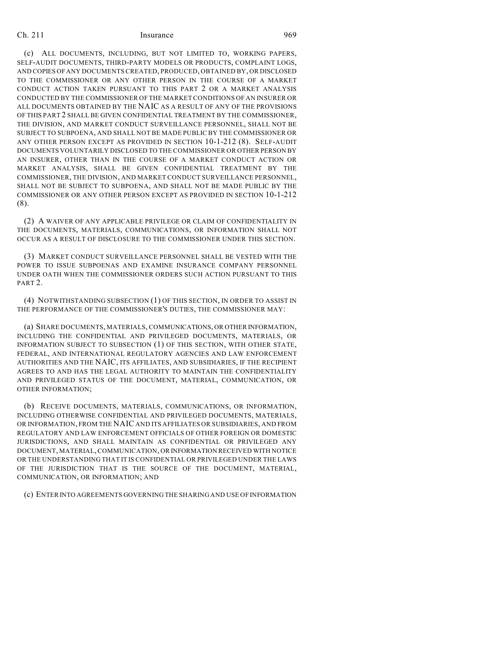(c) ALL DOCUMENTS, INCLUDING, BUT NOT LIMITED TO, WORKING PAPERS, SELF-AUDIT DOCUMENTS, THIRD-PARTY MODELS OR PRODUCTS, COMPLAINT LOGS, AND COPIES OF ANY DOCUMENTS CREATED, PRODUCED, OBTAINED BY, OR DISCLOSED TO THE COMMISSIONER OR ANY OTHER PERSON IN THE COURSE OF A MARKET CONDUCT ACTION TAKEN PURSUANT TO THIS PART 2 OR A MARKET ANALYSIS CONDUCTED BY THE COMMISSIONER OF THE MARKET CONDITIONS OF AN INSURER OR ALL DOCUMENTS OBTAINED BY THE NAIC AS A RESULT OF ANY OF THE PROVISIONS OF THIS PART 2 SHALL BE GIVEN CONFIDENTIAL TREATMENT BY THE COMMISSIONER, THE DIVISION, AND MARKET CONDUCT SURVEILLANCE PERSONNEL, SHALL NOT BE SUBJECT TO SUBPOENA, AND SHALL NOT BE MADE PUBLIC BY THE COMMISSIONER OR ANY OTHER PERSON EXCEPT AS PROVIDED IN SECTION 10-1-212 (8). SELF-AUDIT DOCUMENTS VOLUNTARILY DISCLOSED TO THE COMMISSIONER OR OTHER PERSON BY AN INSURER, OTHER THAN IN THE COURSE OF A MARKET CONDUCT ACTION OR MARKET ANALYSIS, SHALL BE GIVEN CONFIDENTIAL TREATMENT BY THE COMMISSIONER, THE DIVISION, AND MARKET CONDUCT SURVEILLANCE PERSONNEL, SHALL NOT BE SUBJECT TO SUBPOENA, AND SHALL NOT BE MADE PUBLIC BY THE COMMISSIONER OR ANY OTHER PERSON EXCEPT AS PROVIDED IN SECTION 10-1-212 (8).

(2) A WAIVER OF ANY APPLICABLE PRIVILEGE OR CLAIM OF CONFIDENTIALITY IN THE DOCUMENTS, MATERIALS, COMMUNICATIONS, OR INFORMATION SHALL NOT OCCUR AS A RESULT OF DISCLOSURE TO THE COMMISSIONER UNDER THIS SECTION.

(3) MARKET CONDUCT SURVEILLANCE PERSONNEL SHALL BE VESTED WITH THE POWER TO ISSUE SUBPOENAS AND EXAMINE INSURANCE COMPANY PERSONNEL UNDER OATH WHEN THE COMMISSIONER ORDERS SUCH ACTION PURSUANT TO THIS PART 2.

(4) NOTWITHSTANDING SUBSECTION (1) OF THIS SECTION, IN ORDER TO ASSIST IN THE PERFORMANCE OF THE COMMISSIONER'S DUTIES, THE COMMISSIONER MAY:

(a) SHARE DOCUMENTS, MATERIALS, COMMUNICATIONS, OR OTHER INFORMATION, INCLUDING THE CONFIDENTIAL AND PRIVILEGED DOCUMENTS, MATERIALS, OR INFORMATION SUBJECT TO SUBSECTION (1) OF THIS SECTION, WITH OTHER STATE, FEDERAL, AND INTERNATIONAL REGULATORY AGENCIES AND LAW ENFORCEMENT AUTHORITIES AND THE NAIC, ITS AFFILIATES, AND SUBSIDIARIES, IF THE RECIPIENT AGREES TO AND HAS THE LEGAL AUTHORITY TO MAINTAIN THE CONFIDENTIALITY AND PRIVILEGED STATUS OF THE DOCUMENT, MATERIAL, COMMUNICATION, OR OTHER INFORMATION;

(b) RECEIVE DOCUMENTS, MATERIALS, COMMUNICATIONS, OR INFORMATION, INCLUDING OTHERWISE CONFIDENTIAL AND PRIVILEGED DOCUMENTS, MATERIALS, OR INFORMATION, FROM THE NAIC AND ITS AFFILIATES OR SUBSIDIARIES, AND FROM REGULATORY AND LAW ENFORCEMENT OFFICIALS OF OTHER FOREIGN OR DOMESTIC JURISDICTIONS, AND SHALL MAINTAIN AS CONFIDENTIAL OR PRIVILEGED ANY DOCUMENT, MATERIAL, COMMUNICATION, OR INFORMATION RECEIVED WITH NOTICE OR THE UNDERSTANDING THAT IT IS CONFIDENTIAL OR PRIVILEGED UNDER THE LAWS OF THE JURISDICTION THAT IS THE SOURCE OF THE DOCUMENT, MATERIAL, COMMUNICATION, OR INFORMATION; AND

(c) ENTER INTO AGREEMENTS GOVERNING THE SHARING AND USE OF INFORMATION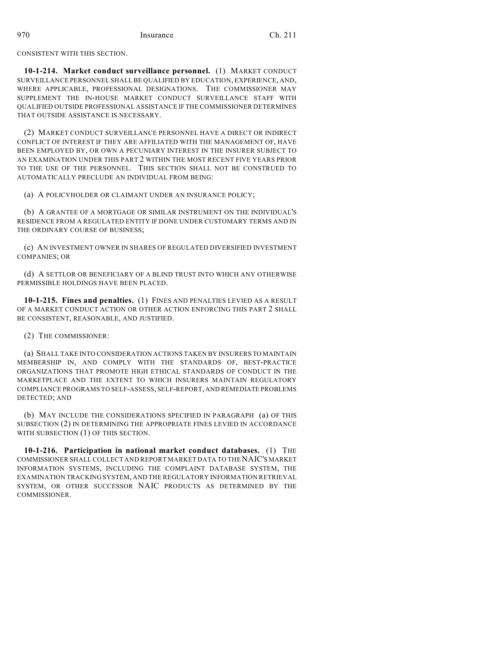CONSISTENT WITH THIS SECTION.

**10-1-214. Market conduct surveillance personnel.** (1) MARKET CONDUCT SURVEILLANCE PERSONNEL SHALL BE QUALIFIED BY EDUCATION, EXPERIENCE, AND, WHERE APPLICABLE, PROFESSIONAL DESIGNATIONS. THE COMMISSIONER MAY SUPPLEMENT THE IN-HOUSE MARKET CONDUCT SURVEILLANCE STAFF WITH QUALIFIED OUTSIDE PROFESSIONAL ASSISTANCE IF THE COMMISSIONER DETERMINES THAT OUTSIDE ASSISTANCE IS NECESSARY.

(2) MARKET CONDUCT SURVEILLANCE PERSONNEL HAVE A DIRECT OR INDIRECT CONFLICT OF INTEREST IF THEY ARE AFFILIATED WITH THE MANAGEMENT OF, HAVE BEEN EMPLOYED BY, OR OWN A PECUNIARY INTEREST IN THE INSURER SUBJECT TO AN EXAMINATION UNDER THIS PART 2 WITHIN THE MOST RECENT FIVE YEARS PRIOR TO THE USE OF THE PERSONNEL. THIS SECTION SHALL NOT BE CONSTRUED TO AUTOMATICALLY PRECLUDE AN INDIVIDUAL FROM BEING:

(a) A POLICYHOLDER OR CLAIMANT UNDER AN INSURANCE POLICY;

(b) A GRANTEE OF A MORTGAGE OR SIMILAR INSTRUMENT ON THE INDIVIDUAL'S RESIDENCE FROM A REGULATED ENTITY IF DONE UNDER CUSTOMARY TERMS AND IN THE ORDINARY COURSE OF BUSINESS;

(c) AN INVESTMENT OWNER IN SHARES OF REGULATED DIVERSIFIED INVESTMENT COMPANIES; OR

(d) A SETTLOR OR BENEFICIARY OF A BLIND TRUST INTO WHICH ANY OTHERWISE PERMISSIBLE HOLDINGS HAVE BEEN PLACED.

**10-1-215. Fines and penalties.** (1) FINES AND PENALTIES LEVIED AS A RESULT OF A MARKET CONDUCT ACTION OR OTHER ACTION ENFORCING THIS PART 2 SHALL BE CONSISTENT, REASONABLE, AND JUSTIFIED.

(2) THE COMMISSIONER:

(a) SHALL TAKE INTO CONSIDERATION ACTIONS TAKEN BY INSURERS TO MAINTAIN MEMBERSHIP IN, AND COMPLY WITH THE STANDARDS OF, BEST-PRACTICE ORGANIZATIONS THAT PROMOTE HIGH ETHICAL STANDARDS OF CONDUCT IN THE MARKETPLACE AND THE EXTENT TO WHICH INSURERS MAINTAIN REGULATORY COMPLIANCE PROGRAMS TO SELF-ASSESS, SELF-REPORT, AND REMEDIATE PROBLEMS DETECTED; AND

(b) MAY INCLUDE THE CONSIDERATIONS SPECIFIED IN PARAGRAPH (a) OF THIS SUBSECTION (2) IN DETERMINING THE APPROPRIATE FINES LEVIED IN ACCORDANCE WITH SUBSECTION (1) OF THIS SECTION.

**10-1-216. Participation in national market conduct databases.** (1) THE COMMISSIONER SHALL COLLECT AND REPORT MARKET DATA TO THE NAIC'S MARKET INFORMATION SYSTEMS, INCLUDING THE COMPLAINT DATABASE SYSTEM, THE EXAMINATION TRACKING SYSTEM, AND THE REGULATORY INFORMATION RETRIEVAL SYSTEM, OR OTHER SUCCESSOR NAIC PRODUCTS AS DETERMINED BY THE COMMISSIONER.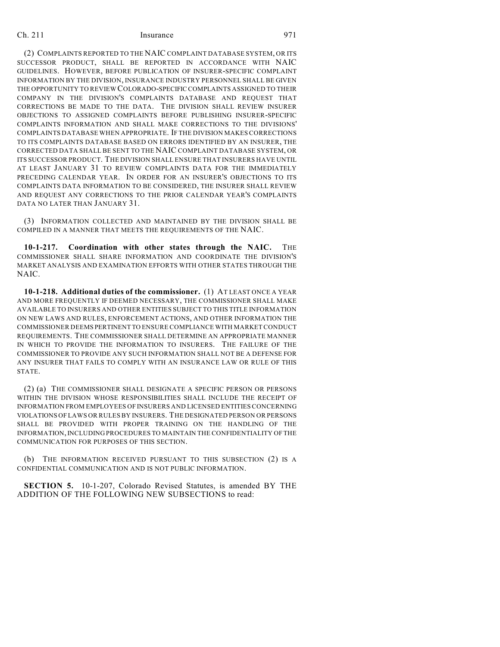(2) COMPLAINTS REPORTED TO THE NAIC COMPLAINT DATABASE SYSTEM, OR ITS SUCCESSOR PRODUCT, SHALL BE REPORTED IN ACCORDANCE WITH NAIC GUIDELINES. HOWEVER, BEFORE PUBLICATION OF INSURER-SPECIFIC COMPLAINT INFORMATION BY THE DIVISION, INSURANCE INDUSTRY PERSONNEL SHALL BE GIVEN THE OPPORTUNITY TO REVIEW COLORADO-SPECIFIC COMPLAINTS ASSIGNED TO THEIR COMPANY IN THE DIVISION'S COMPLAINTS DATABASE AND REQUEST THAT CORRECTIONS BE MADE TO THE DATA. THE DIVISION SHALL REVIEW INSURER OBJECTIONS TO ASSIGNED COMPLAINTS BEFORE PUBLISHING INSURER-SPECIFIC COMPLAINTS INFORMATION AND SHALL MAKE CORRECTIONS TO THE DIVISIONS' COMPLAINTS DATABASE WHEN APPROPRIATE. IF THE DIVISION MAKES CORRECTIONS TO ITS COMPLAINTS DATABASE BASED ON ERRORS IDENTIFIED BY AN INSURER, THE CORRECTED DATA SHALL BE SENT TO THE NAIC COMPLAINT DATABASE SYSTEM, OR ITS SUCCESSOR PRODUCT. THE DIVISION SHALL ENSURE THAT INSURERS HAVE UNTIL AT LEAST JANUARY 31 TO REVIEW COMPLAINTS DATA FOR THE IMMEDIATELY PRECEDING CALENDAR YEAR. IN ORDER FOR AN INSURER'S OBJECTIONS TO ITS COMPLAINTS DATA INFORMATION TO BE CONSIDERED, THE INSURER SHALL REVIEW AND REQUEST ANY CORRECTIONS TO THE PRIOR CALENDAR YEAR'S COMPLAINTS DATA NO LATER THAN JANUARY 31.

(3) INFORMATION COLLECTED AND MAINTAINED BY THE DIVISION SHALL BE COMPILED IN A MANNER THAT MEETS THE REQUIREMENTS OF THE NAIC.

**10-1-217. Coordination with other states through the NAIC.** THE COMMISSIONER SHALL SHARE INFORMATION AND COORDINATE THE DIVISION'S MARKET ANALYSIS AND EXAMINATION EFFORTS WITH OTHER STATES THROUGH THE NAIC.

**10-1-218. Additional duties of the commissioner.** (1) AT LEAST ONCE A YEAR AND MORE FREQUENTLY IF DEEMED NECESSARY, THE COMMISSIONER SHALL MAKE AVAILABLE TO INSURERS AND OTHER ENTITIES SUBJECT TO THIS TITLE INFORMATION ON NEW LAWS AND RULES, ENFORCEMENT ACTIONS, AND OTHER INFORMATION THE COMMISSIONER DEEMS PERTINENT TO ENSURE COMPLIANCE WITH MARKET CONDUCT REQUIREMENTS. THE COMMISSIONER SHALL DETERMINE AN APPROPRIATE MANNER IN WHICH TO PROVIDE THE INFORMATION TO INSURERS. THE FAILURE OF THE COMMISSIONER TO PROVIDE ANY SUCH INFORMATION SHALL NOT BE A DEFENSE FOR ANY INSURER THAT FAILS TO COMPLY WITH AN INSURANCE LAW OR RULE OF THIS STATE.

(2) (a) THE COMMISSIONER SHALL DESIGNATE A SPECIFIC PERSON OR PERSONS WITHIN THE DIVISION WHOSE RESPONSIBILITIES SHALL INCLUDE THE RECEIPT OF INFORMATION FROM EMPLOYEES OF INSURERS AND LICENSED ENTITIES CONCERNING VIOLATIONS OF LAWS OR RULES BY INSURERS. THE DESIGNATED PERSON OR PERSONS SHALL BE PROVIDED WITH PROPER TRAINING ON THE HANDLING OF THE INFORMATION, INCLUDING PROCEDURES TO MAINTAIN THE CONFIDENTIALITY OF THE COMMUNICATION FOR PURPOSES OF THIS SECTION.

(b) THE INFORMATION RECEIVED PURSUANT TO THIS SUBSECTION (2) IS A CONFIDENTIAL COMMUNICATION AND IS NOT PUBLIC INFORMATION.

**SECTION 5.** 10-1-207, Colorado Revised Statutes, is amended BY THE ADDITION OF THE FOLLOWING NEW SUBSECTIONS to read: